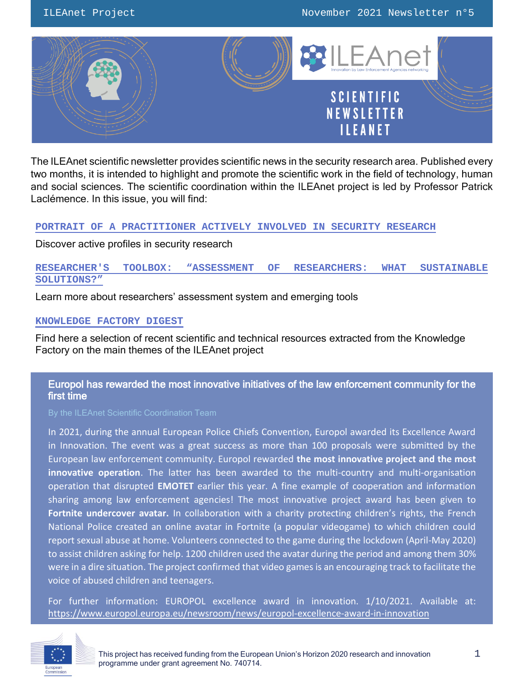

The ILEAnet scientific newsletter provides scientific news in the security research area. Published every two months, it is intended to highlight and promote the scientific work in the field of technology, human and social sciences. The scientific coordination within the ILEAnet project is led by Professor Patrick Laclémence. In this issue, you will find:

#### **[PORTRAIT OF A PRACTITIONER ACTIVELY INVOLVED IN SECURITY RESEARCH](#page-1-0)**

Discover active profiles in security research

## **RESEARCHER'S TOOLBOX: "ASSESSMENT OF RES[EARCHERS: WHAT SUSTAINABLE](#page-5-0)  [SOLUTIONS?](#page-5-0)"**

Learn more about researchers' assessment system and emerging tools

#### **[KNOWLEDGE FACTORY DIGEST](#page-8-0)**

Find here a selection of recent scientific and technical resources extracted from the Knowledge Factory on the main themes of the ILEAnet project

## Europol has rewarded the most innovative initiatives of the law enforcement community for the first time

In 2021, during the annual European Police Chiefs Convention, Europol awarded its Excellence Award in Innovation. The event was a great success as more than 100 proposals were submitted by the European law enforcement community. Europol rewarded **the most innovative project and the most innovative operation**. The latter has been awarded to the multi-country and multi-organisation operation that disrupted **EMOTET** earlier this year. A fine example of cooperation and information sharing among law enforcement agencies! The most innovative project award has been given to **Fortnite undercover avatar.** In collaboration with a charity protecting children's rights, the French National Police created an online avatar in Fortnite (a popular videogame) to which children could report sexual abuse at home. Volunteers connected to the game during the lockdown (April-May 2020) to assist children asking for help. 1200 children used the avatar during the period and among them 30% were in a dire situation. The project confirmed that video games is an encouraging track to facilitate the voice of abused children and teenagers.

For further information: EUROPOL excellence award in innovation. 1/10/2021. Available at: <https://www.europol.europa.eu/newsroom/news/europol-excellence-award-in-innovation>

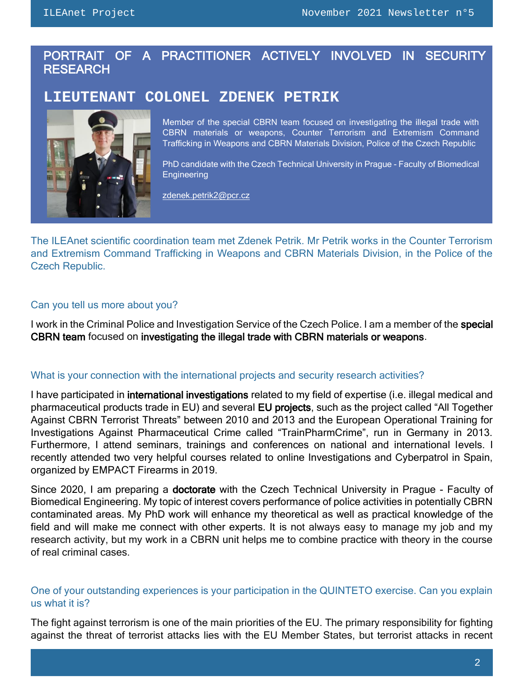## <span id="page-1-0"></span>PORTRAIT OF A PRACTITIONER ACTIVELY INVOLVED IN SECURITY **RESEARCH**

# **LIEUTENANT COLONEL ZDENEK PETRIK**



Member of the special CBRN team focused on investigating the illegal trade with CBRN materials or weapons, Counter Terrorism and Extremism Command Trafficking in Weapons and CBRN Materials Division, Police of the Czech Republic

PhD candidate with the Czech Technical University in Prague - Faculty of Biomedical **Engineering** 

[zdenek.petrik2@pcr.cz](mailto:zdenek.petrik2@pcr.cz)

The ILEAnet scientific coordination team met Zdenek Petrik. Mr Petrik works in the Counter Terrorism and Extremism Command Trafficking in Weapons and CBRN Materials Division, in the Police of the Czech Republic.

#### Can you tell us more about you?

I work in the Criminal Police and Investigation Service of the Czech Police. I am a member of the special CBRN team focused on investigating the illegal trade with CBRN materials or weapons.

#### What is your connection with the international projects and security research activities?

I have participated in international investigations related to my field of expertise (i.e. illegal medical and pharmaceutical products trade in EU) and several EU projects, such as the project called "All Together Against CBRN Terrorist Threats" between 2010 and 2013 and the European Operational Training for Investigations Against Pharmaceutical Crime called "TrainPharmCrime", run in Germany in 2013. Furthermore, I attend seminars, trainings and conferences on national and international levels. I recently attended two very helpful courses related to online Investigations and Cyberpatrol in Spain, organized by EMPACT Firearms in 2019.

Since 2020, I am preparing a **doctorate** with the Czech Technical University in Prague - Faculty of Biomedical Engineering. My topic of interest covers performance of police activities in potentially CBRN contaminated areas. My PhD work will enhance my theoretical as well as practical knowledge of the field and will make me connect with other experts. It is not always easy to manage my job and my research activity, but my work in a CBRN unit helps me to combine practice with theory in the course of real criminal cases.

## One of your outstanding experiences is your participation in the QUINTETO exercise. Can you explain us what it is?

The fight against terrorism is one of the main priorities of the EU. The primary responsibility for fighting against the threat of terrorist attacks lies with the EU Member States, but terrorist attacks in recent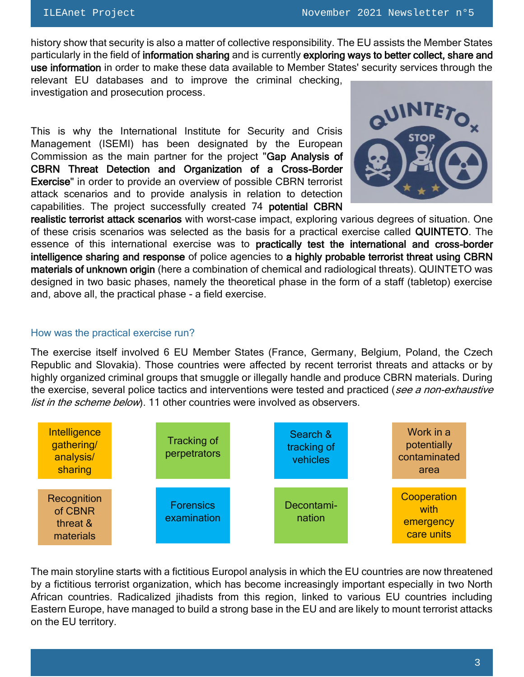history show that security is also a matter of collective responsibility. The EU assists the Member States particularly in the field of information sharing and is currently exploring ways to better collect, share and use information in order to make these data available to Member States' security services through the relevant EU databases and to improve the criminal checking,

investigation and prosecution process.

This is why the International Institute for Security and Crisis Management (ISEMI) has been designated by the European Commission as the main partner for the project "Gap Analysis of CBRN Threat Detection and Organization of a Cross-Border Exercise" in order to provide an overview of possible CBRN terrorist attack scenarios and to provide analysis in relation to detection capabilities. The project successfully created 74 potential CBRN



realistic terrorist attack scenarios with worst-case impact, exploring various degrees of situation. One of these crisis scenarios was selected as the basis for a practical exercise called QUINTETO. The essence of this international exercise was to practically test the international and cross-border intelligence sharing and response of police agencies to a highly probable terrorist threat using CBRN materials of unknown origin (here a combination of chemical and radiological threats). QUINTETO was designed in two basic phases, namely the theoretical phase in the form of a staff (tabletop) exercise and, above all, the practical phase - a field exercise.

#### How was the practical exercise run?

The exercise itself involved 6 EU Member States (France, Germany, Belgium, Poland, the Czech Republic and Slovakia). Those countries were affected by recent terrorist threats and attacks or by highly organized criminal groups that smuggle or illegally handle and produce CBRN materials. During the exercise, several police tactics and interventions were tested and practiced (see a non-exhaustive list in the scheme below). 11 other countries were involved as observers.



The main storyline starts with a fictitious Europol analysis in which the EU countries are now threatened by a fictitious terrorist organization, which has become increasingly important especially in two North African countries. Radicalized jihadists from this region, linked to various EU countries including Eastern Europe, have managed to build a strong base in the EU and are likely to mount terrorist attacks on the EU territory.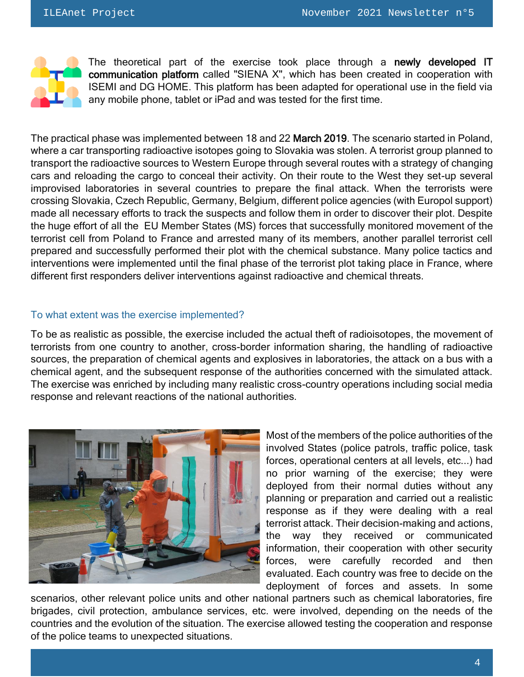

The theoretical part of the exercise took place through a newly developed IT communication platform called "SIENA X", which has been created in cooperation with ISEMI and DG HOME. This platform has been adapted for operational use in the field via any mobile phone, tablet or iPad and was tested for the first time.

The practical phase was implemented between 18 and 22 March 2019. The scenario started in Poland, where a car transporting radioactive isotopes going to Slovakia was stolen. A terrorist group planned to transport the radioactive sources to Western Europe through several routes with a strategy of changing cars and reloading the cargo to conceal their activity. On their route to the West they set-up several improvised laboratories in several countries to prepare the final attack. When the terrorists were crossing Slovakia, Czech Republic, Germany, Belgium, different police agencies (with Europol support) made all necessary efforts to track the suspects and follow them in order to discover their plot. Despite the huge effort of all the EU Member States (MS) forces that successfully monitored movement of the terrorist cell from Poland to France and arrested many of its members, another parallel terrorist cell prepared and successfully performed their plot with the chemical substance. Many police tactics and interventions were implemented until the final phase of the terrorist plot taking place in France, where different first responders deliver interventions against radioactive and chemical threats.

#### To what extent was the exercise implemented?

To be as realistic as possible, the exercise included the actual theft of radioisotopes, the movement of terrorists from one country to another, cross-border information sharing, the handling of radioactive sources, the preparation of chemical agents and explosives in laboratories, the attack on a bus with a chemical agent, and the subsequent response of the authorities concerned with the simulated attack. The exercise was enriched by including many realistic cross-country operations including social media response and relevant reactions of the national authorities.



Most of the members of the police authorities of the involved States (police patrols, traffic police, task forces, operational centers at all levels, etc...) had no prior warning of the exercise; they were deployed from their normal duties without any planning or preparation and carried out a realistic response as if they were dealing with a real terrorist attack. Their decision-making and actions, the way they received or communicated information, their cooperation with other security forces, were carefully recorded and then evaluated. Each country was free to decide on the deployment of forces and assets. In some

scenarios, other relevant police units and other national partners such as chemical laboratories, fire brigades, civil protection, ambulance services, etc. were involved, depending on the needs of the countries and the evolution of the situation. The exercise allowed testing the cooperation and response of the police teams to unexpected situations.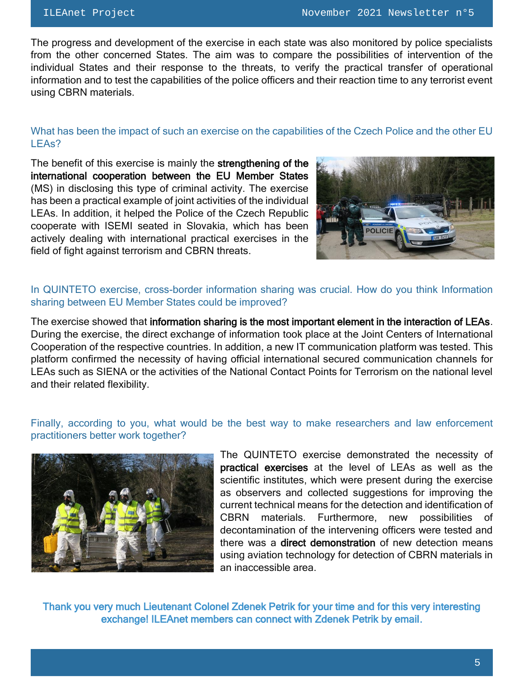The progress and development of the exercise in each state was also monitored by police specialists from the other concerned States. The aim was to compare the possibilities of intervention of the individual States and their response to the threats, to verify the practical transfer of operational information and to test the capabilities of the police officers and their reaction time to any terrorist event using CBRN materials.

## What has been the impact of such an exercise on the capabilities of the Czech Police and the other EU LEAs?

The benefit of this exercise is mainly the strengthening of the international cooperation between the EU Member States (MS) in disclosing this type of criminal activity. The exercise has been a practical example of joint activities of the individual LEAs. In addition, it helped the Police of the Czech Republic cooperate with ISEMI seated in Slovakia, which has been actively dealing with international practical exercises in the field of fight against terrorism and CBRN threats.



## In QUINTETO exercise, cross-border information sharing was crucial. How do you think Information sharing between EU Member States could be improved?

The exercise showed that information sharing is the most important element in the interaction of LEAs. During the exercise, the direct exchange of information took place at the Joint Centers of International Cooperation of the respective countries. In addition, a new IT communication platform was tested. This platform confirmed the necessity of having official international secured communication channels for LEAs such as SIENA or the activities of the National Contact Points for Terrorism on the national level and their related flexibility.

## Finally, according to you, what would be the best way to make researchers and law enforcement practitioners better work together?



The QUINTETO exercise demonstrated the necessity of practical exercises at the level of LEAs as well as the scientific institutes, which were present during the exercise as observers and collected suggestions for improving the current technical means for the detection and identification of CBRN materials. Furthermore, new possibilities of decontamination of the intervening officers were tested and there was a **direct demonstration** of new detection means using aviation technology for detection of CBRN materials in an inaccessible area.

Thank you very much Lieutenant Colonel Zdenek Petrik for your time and for this very interesting exchange! ILEAnet members can connect with Zdenek Petrik by email.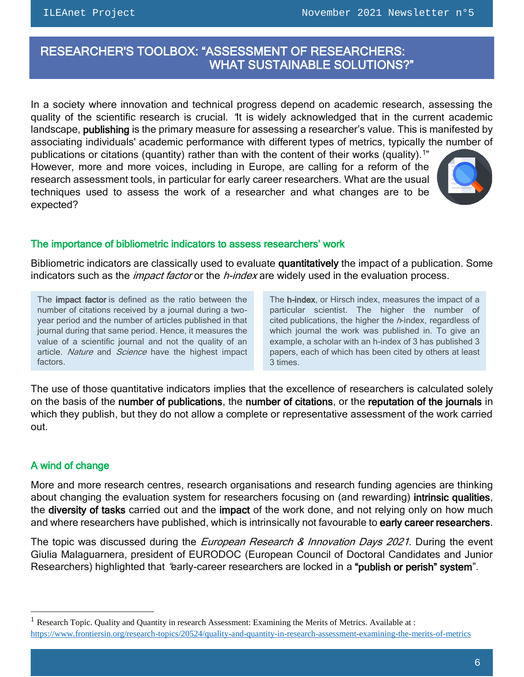$\overline{a}$ 

## <span id="page-5-0"></span> RESEARCHER'S TOOLBOX: "ASSESSMENT OF RESEARCHERS: WHAT SUSTAINABLE SOLUTIONS?"

In a society where innovation and technical progress depend on academic research, assessing the quality of the scientific research is crucial. "It is widely acknowledged that in the current academic landscape, publishing is the primary measure for assessing a researcher's value. This is manifested by associating individuals' academic performance with different types of metrics, typically the number of

publications or citations (quantity) rather than with the content of their works (quality).<sup>1"</sup> However, more and more voices, including in Europe, are calling for a reform of the research assessment tools, in particular for early career researchers. What are the usual techniques used to assess the work of a researcher and what changes are to be expected?



### The importance of bibliometric indicators to assess researchers' work

Bibliometric indicators are classically used to evaluate quantitatively the impact of a publication. Some indicators such as the *impact factor* or the *h-index* are widely used in the evaluation process.

The impact factor is defined as the ratio between the number of citations received by a journal during a twoyear period and the number of articles published in that journal during that same period. Hence, it measures the value of a scientific journal and not the quality of an article. Nature and Science have the highest impact factors.

The **h-index**, or Hirsch index, measures the impact of a particular scientist. The higher the number of cited publications, the higher the  $h$ -index, regardless of which journal the work was published in. To give an example, a scholar with an h-index of 3 has published 3 papers, each of which has been cited by others at least 3 times.

The use of those quantitative indicators implies that the excellence of researchers is calculated solely on the basis of the number of publications, the number of citations, or the reputation of the journals in which they publish, but they do not allow a complete or representative assessment of the work carried out.

## A wind of change

 $\overline{a}$ 

More and more research centres, research organisations and research funding agencies are thinking about changing the evaluation system for researchers focusing on (and rewarding) intrinsic qualities, the diversity of tasks carried out and the impact of the work done, and not relying only on how much and where researchers have published, which is intrinsically not favourable to early career researchers.

The topic was discussed during the *European Research & Innovation Days 2021*. During the event Giulia Malaguarnera, president of EURODOC (European Council of Doctoral Candidates and Junior Researchers) highlighted that "early-career researchers are locked in a "publish or perish" system".

<sup>1</sup> Research Topic. Quality and Quantity in research Assessment: Examining the Merits of Metrics. Available at :

<https://www.frontiersin.org/research-topics/20524/quality-and-quantity-in-research-assessment-examining-the-merits-of-metrics>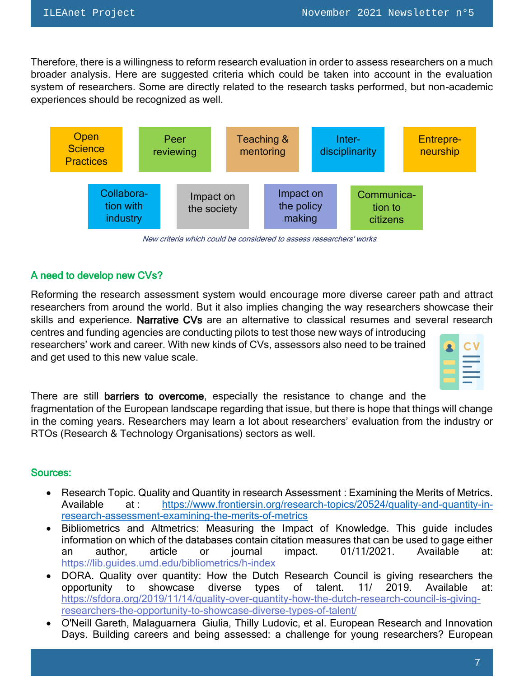Therefore, there is a willingness to reform research evaluation in order to assess researchers on a much broader analysis. Here are suggested criteria which could be taken into account in the evaluation system of researchers. Some are directly related to the research tasks performed, but non-academic experiences should be recognized as well.



New criteria which could be considered to assess researchers' works

## A need to develop new CVs?

Reforming the research assessment system would encourage more diverse career path and attract researchers from around the world. But it also implies changing the way researchers showcase their skills and experience. Narrative CVs are an alternative to classical resumes and several research centres and funding agencies are conducting pilots to test those new ways of introducing

researchers' work and career. With new kinds of CVs, assessors also need to be trained and get used to this new value scale.



There are still barriers to overcome, especially the resistance to change and the fragmentation of the European landscape regarding that issue, but there is hope that things will change in the coming years. Researchers may learn a lot about researchers' evaluation from the industry or RTOs (Research & Technology Organisations) sectors as well.

### Sources:

- Research Topic. Quality and Quantity in research Assessment : Examining the Merits of Metrics. Available at : [https://www.frontiersin.org/research-topics/20524/quality-and-quantity-in](https://www.frontiersin.org/research-topics/20524/quality-and-quantity-in-research-assessment-examining-the-merits-of-metrics)[research-assessment-examining-the-merits-of-metrics](https://www.frontiersin.org/research-topics/20524/quality-and-quantity-in-research-assessment-examining-the-merits-of-metrics)
- Bibliometrics and Altmetrics: Measuring the Impact of Knowledge. This guide includes information on which of the databases contain citation measures that can be used to gage either an author, article or journal impact. 01/11/2021. Available at: <https://lib.guides.umd.edu/bibliometrics/h-index>
- DORA. Quality over quantity: How the Dutch Research Council is giving researchers the opportunity to showcase diverse types of talent. 11/ 2019. Available at: [https://sfdora.org/2019/11/14/quality-over-quantity-how-the-dutch-research-council-is-giving](https://sfdora.org/2019/11/14/quality-over-quantity-how-the-dutch-research-council-is-giving-researchers-the-opportunity-to-showcase-diverse-types-of-talent/)[researchers-the-opportunity-to-showcase-diverse-types-of-talent/](https://sfdora.org/2019/11/14/quality-over-quantity-how-the-dutch-research-council-is-giving-researchers-the-opportunity-to-showcase-diverse-types-of-talent/)
- O'Neill Gareth, Malaguarnera Giulia, Thilly Ludovic, et al. European Research and Innovation Days. Building careers and being assessed: a challenge for young researchers? European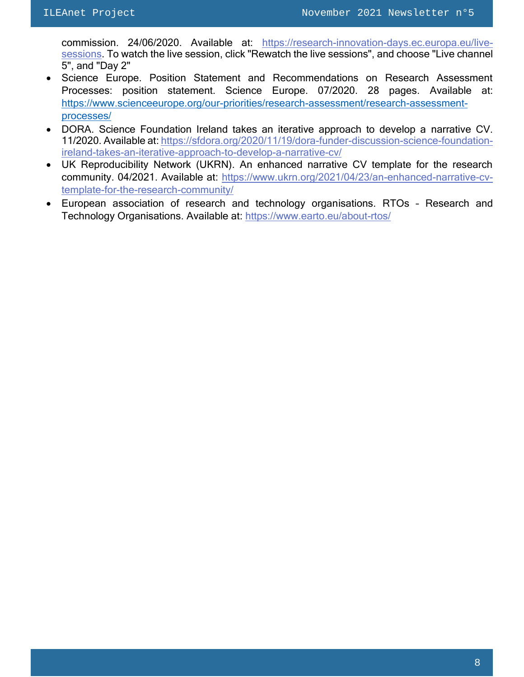commission. 24/06/2020. Available at: [https://research-innovation-days.ec.europa.eu/live](https://research-innovation-days.ec.europa.eu/live-sessions.)[sessions.](https://research-innovation-days.ec.europa.eu/live-sessions.) To watch the live session, click "Rewatch the live sessions", and choose "Live channel 5", and "Day 2"

- Science Europe. Position Statement and Recommendations on Research Assessment Processes: position statement. Science Europe. 07/2020. 28 pages. Available at: [https://www.scienceeurope.org/our-priorities/research-assessment/research-assessment](https://www.scienceeurope.org/our-priorities/research-assessment/research-assessment-processes/)[processes/](https://www.scienceeurope.org/our-priorities/research-assessment/research-assessment-processes/)
- DORA. Science Foundation Ireland takes an iterative approach to develop a narrative CV. 11/2020. Available at: [https://sfdora.org/2020/11/19/dora-funder-discussion-science-foundation](https://sfdora.org/2020/11/19/dora-funder-discussion-science-foundation-ireland-takes-an-iterative-approach-to-develop-a-narrative-cv/)[ireland-takes-an-iterative-approach-to-develop-a-narrative-cv/](https://sfdora.org/2020/11/19/dora-funder-discussion-science-foundation-ireland-takes-an-iterative-approach-to-develop-a-narrative-cv/)
- UK Reproducibility Network (UKRN). An enhanced narrative CV template for the research community. 04/2021. Available at: [https://www.ukrn.org/2021/04/23/an-enhanced-narrative-cv](https://www.ukrn.org/2021/04/23/an-enhanced-narrative-cv-template-for-the-research-community/)[template-for-the-research-community/](https://www.ukrn.org/2021/04/23/an-enhanced-narrative-cv-template-for-the-research-community/)
- European association of research and technology organisations. RTOs Research and Technology Organisations. Available at:<https://www.earto.eu/about-rtos/>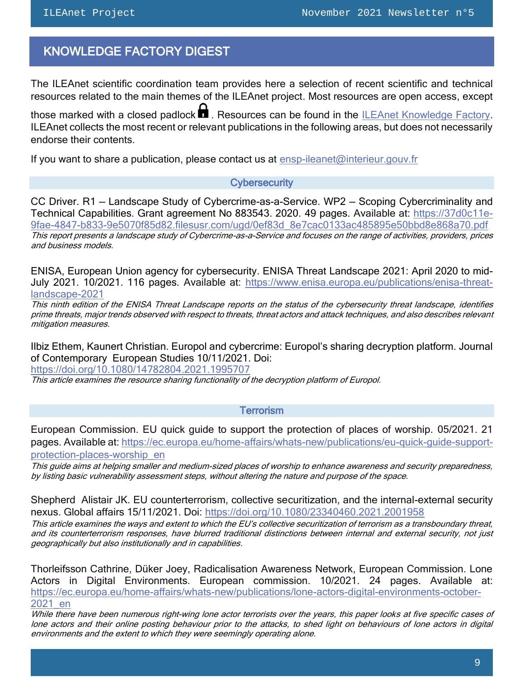## <span id="page-8-0"></span>KNOWLEDGE FACTORY DIGEST

The ILEAnet scientific coordination team provides here a selection of recent scientific and technical resources related to the main themes of the ILEAnet project. Most resources are open access, except

those marked with a closed padlock  $\blacksquare$ . Resources can be found in the [ILEAnet Knowledge Factory.](https://ileanet.sym.place/groups/profile/109443/ileanet-knowledge-factory) ILEAnet collects the most recent or relevant publications in the following areas, but does not necessarily endorse their contents.

If you want to share a publication, please contact us at [ensp-ileanet@interieur.gouv.fr](mailto:ensp-ileanet@interieur.gouv.fr)

#### **Cybersecurity**

CC Driver. R1 — Landscape Study of Cybercrime-as-a-Service. WP2 — Scoping Cybercriminality and Technical Capabilities. Grant agreement No 883543. 2020. 49 pages. Available at: [https://37d0c11e-](https://37d0c11e-9fae-4847-b833-9e5070f85d82.filesusr.com/ugd/0ef83d_8e7cac0133ac485895e50bbd8e868a70.pdf)[9fae-4847-b833-9e5070f85d82.filesusr.com/ugd/0ef83d\\_8e7cac0133ac485895e50bbd8e868a70.pdf](https://37d0c11e-9fae-4847-b833-9e5070f85d82.filesusr.com/ugd/0ef83d_8e7cac0133ac485895e50bbd8e868a70.pdf) This report presents a landscape study of Cybercrime-as-a-Service and focuses on the range of activities, providers, prices and business models.

ENISA, European Union agency for cybersecurity. ENISA Threat Landscape 2021: April 2020 to mid-July 2021. 10/2021. 116 pages. Available at: [https://www.enisa.europa.eu/publications/enisa-threat](https://www.enisa.europa.eu/publications/enisa-threat-landscape-2021)[landscape-2021](https://www.enisa.europa.eu/publications/enisa-threat-landscape-2021)

This ninth edition of the ENISA Threat Landscape reports on the status of the cybersecurity threat landscape, identifies prime threats, major trends observed with respect to threats, threat actors and attack techniques, and also describes relevant mitigation measures.

Ilbiz Ethem, Kaunert Christian. Europol and cybercrime: Europol's sharing decryption platform. Journal of Contemporary European Studies 10/11/2021. Doi:

<https://doi.org/10.1080/14782804.2021.1995707>

This article examines the resource sharing functionality of the decryption platform of Europol.

#### **Terrorism**

European Commission. EU quick guide to support the protection of places of worship. 05/2021. 21 pages. Available at: [https://ec.europa.eu/home-affairs/whats-new/publications/eu-quick-guide-support](https://ec.europa.eu/home-affairs/whats-new/publications/eu-quick-guide-support-protection-places-worship_en)[protection-places-worship\\_en](https://ec.europa.eu/home-affairs/whats-new/publications/eu-quick-guide-support-protection-places-worship_en)

This guide aims at helping smaller and medium-sized places of worship to enhance awareness and security preparedness, by listing basic vulnerability assessment steps, without altering the nature and purpose of the space.

Shepherd Alistair JK. EU counterterrorism, collective securitization, and the internal-external security nexus. Global affairs 15/11/2021. Doi:<https://doi.org/10.1080/23340460.2021.2001958>

This article examines the ways and extent to which the EU's collective securitization of terrorism as a transboundary threat, and its counterterrorism responses, have blurred traditional distinctions between internal and external security, not just geographically but also institutionally and in capabilities.

Thorleifsson Cathrine, Düker Joey, Radicalisation Awareness Network, European Commission. Lone Actors in Digital Environments. European commission. 10/2021. 24 pages. Available at: [https://ec.europa.eu/home-affairs/whats-new/publications/lone-actors-digital-environments-october-](https://ec.europa.eu/home-affairs/whats-new/publications/lone-actors-digital-environments-october-2021_en?pk_campaign=ran_research&pk_source=twitter&pk_medium=social#details)[2021\\_en](https://ec.europa.eu/home-affairs/whats-new/publications/lone-actors-digital-environments-october-2021_en?pk_campaign=ran_research&pk_source=twitter&pk_medium=social#details)

While there have been numerous right-wing lone actor terrorists over the years, this paper looks at five specific cases of lone actors and their online posting behaviour prior to the attacks, to shed light on behaviours of lone actors in digital environments and the extent to which they were seemingly operating alone.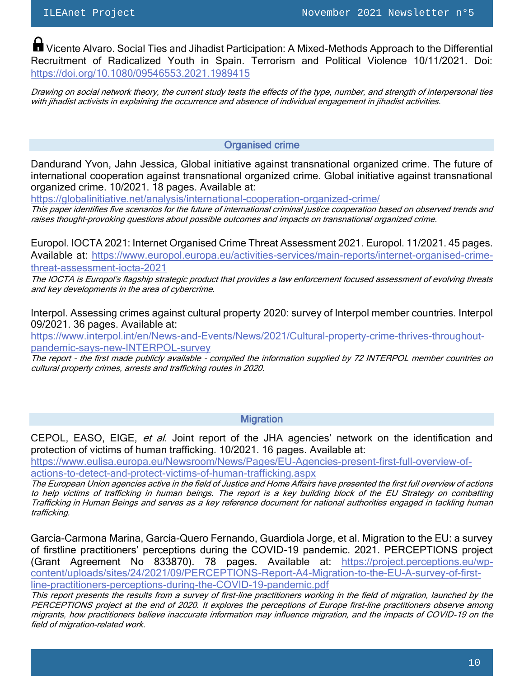**T** Vicente Alvaro. Social Ties and Jihadist Participation: A Mixed-Methods Approach to the Differential Recruitment of Radicalized Youth in Spain. Terrorism and Political Violence 10/11/2021. Doi: <https://doi.org/10.1080/09546553.2021.1989415>

Drawing on social network theory, the current study tests the effects of the type, number, and strength of interpersonal ties with jihadist activists in explaining the occurrence and absence of individual engagement in jihadist activities.

#### Organised crime

Dandurand Yvon, Jahn Jessica, Global initiative against transnational organized crime. The future of international cooperation against transnational organized crime. Global initiative against transnational organized crime. 10/2021. 18 pages. Available at:

<https://globalinitiative.net/analysis/international-cooperation-organized-crime/>

This paper identifies five scenarios for the future of international criminal justice cooperation based on observed trends and raises thought-provoking questions about possible outcomes and impacts on transnational organized crime.

Europol. IOCTA 2021: Internet Organised Crime Threat Assessment 2021. Europol. 11/2021. 45 pages. Available at: [https://www.europol.europa.eu/activities-services/main-reports/internet-organised-crime](https://www.europol.europa.eu/activities-services/main-reports/internet-organised-crime-threat-assessment-iocta-2021)[threat-assessment-iocta-2021](https://www.europol.europa.eu/activities-services/main-reports/internet-organised-crime-threat-assessment-iocta-2021)

The IOCTA is Europol's flagship strategic product that provides a law enforcement focused assessment of evolving threats and key developments in the area of cybercrime.

Interpol. Assessing crimes against cultural property 2020: survey of Interpol member countries. Interpol 09/2021. 36 pages. Available at:

[https://www.interpol.int/en/News-and-Events/News/2021/Cultural-property-crime-thrives-throughout](https://www.interpol.int/en/News-and-Events/News/2021/Cultural-property-crime-thrives-throughout-pandemic-says-new-INTERPOL-survey)[pandemic-says-new-INTERPOL-survey](https://www.interpol.int/en/News-and-Events/News/2021/Cultural-property-crime-thrives-throughout-pandemic-says-new-INTERPOL-survey)

The report - the first made publicly available - compiled the information supplied by 72 INTERPOL member countries on cultural property crimes, arrests and trafficking routes in 2020.

#### **Migration**

CEPOL, EASO, EIGE, et al. Joint report of the JHA agencies' network on the identification and protection of victims of human trafficking. 10/2021. 16 pages. Available at:

[https://www.eulisa.europa.eu/Newsroom/News/Pages/EU-Agencies-present-first-full-overview-of](https://www.eulisa.europa.eu/Newsroom/News/Pages/EU-Agencies-present-first-full-overview-of-actions-to-detect-and-protect-victims-of-human-trafficking.aspx)[actions-to-detect-and-protect-victims-of-human-trafficking.aspx](https://www.eulisa.europa.eu/Newsroom/News/Pages/EU-Agencies-present-first-full-overview-of-actions-to-detect-and-protect-victims-of-human-trafficking.aspx)

The European Union agencies active in the field of Justice and Home Affairs have presented the first full overview of actions to help victims of trafficking in human beings. The report is a key building block of the [EU Strategy on combatting](https://ec.europa.eu/anti-trafficking/eu-policy/eu-strategy-combatting-trafficking-human-beings-2021-2025_en#:~:text=On%2014%20April%202021%2c%20the%2cto%20bringing%20traffickers%20to%20justice.)  [Trafficking](https://ec.europa.eu/anti-trafficking/eu-policy/eu-strategy-combatting-trafficking-human-beings-2021-2025_en#:~:text=On%2014%20April%202021%2c%20the%2cto%20bringing%20traffickers%20to%20justice.) in Human Beings and serves as a key reference document for national authorities engaged in tackling human trafficking.

García-Carmona Marina, García-Quero Fernando, Guardiola Jorge, et al. Migration to the EU: a survey of firstline practitioners' perceptions during the COVID-19 pandemic. 2021. PERCEPTIONS project (Grant Agreement No 833870). 78 pages. Available at: [https://project.perceptions.eu/wp](file:///C:/Users/yvars/AppData/Local/Temp/García-Carmona%20Marina,%20García-Quero%20Fernando,%20Guardiola%20Jorge,%20et%20al.%20Migration%20to%20the%20EU:%20a%20survey%20of%20first%20line%20practitioners’%20perceptions%20during%20the%20COVID-19%20pandemic.%202021.%20PERCEPTIONS%20project%20(Grant)[content/uploads/sites/24/2021/09/PERCEPTIONS-Report-A4-Migration-to-the-EU-A-survey-of-first](file:///C:/Users/yvars/AppData/Local/Temp/García-Carmona%20Marina,%20García-Quero%20Fernando,%20Guardiola%20Jorge,%20et%20al.%20Migration%20to%20the%20EU:%20a%20survey%20of%20first%20line%20practitioners’%20perceptions%20during%20the%20COVID-19%20pandemic.%202021.%20PERCEPTIONS%20project%20(Grant)[line-practitioners-perceptions-during-the-COVID-19-pandemic.pdf](file:///C:/Users/yvars/AppData/Local/Temp/García-Carmona%20Marina,%20García-Quero%20Fernando,%20Guardiola%20Jorge,%20et%20al.%20Migration%20to%20the%20EU:%20a%20survey%20of%20first%20line%20practitioners’%20perceptions%20during%20the%20COVID-19%20pandemic.%202021.%20PERCEPTIONS%20project%20(Grant)

This report presents the results from a survey of first-line practitioners working in the field of migration, launched by the PERCEPTIONS project at the end of 2020. It explores the perceptions of Europe first-line practitioners observe among migrants, how practitioners believe inaccurate information may influence migration, and the impacts of COVID-19 on the field of migration-related work.